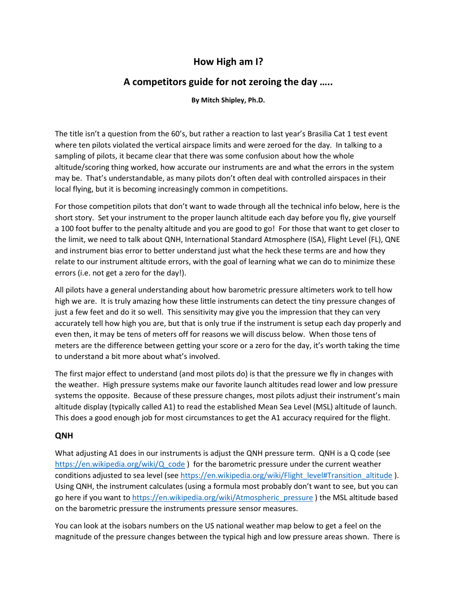# **How High am I?**

# **A competitors guide for not zeroing the day …..**

**By Mitch Shipley, Ph.D.** 

The title isn't a question from the 60's, but rather a reaction to last year's Brasilia Cat 1 test event where ten pilots violated the vertical airspace limits and were zeroed for the day. In talking to a sampling of pilots, it became clear that there was some confusion about how the whole altitude/scoring thing worked, how accurate our instruments are and what the errors in the system may be. That's understandable, as many pilots don't often deal with controlled airspaces in their local flying, but it is becoming increasingly common in competitions.

For those competition pilots that don't want to wade through all the technical info below, here is the short story. Set your instrument to the proper launch altitude each day before you fly, give yourself a 100 foot buffer to the penalty altitude and you are good to go! For those that want to get closer to the limit, we need to talk about QNH, International Standard Atmosphere (ISA), Flight Level (FL), QNE and instrument bias error to better understand just what the heck these terms are and how they relate to our instrument altitude errors, with the goal of learning what we can do to minimize these errors (i.e. not get a zero for the day!).

All pilots have a general understanding about how barometric pressure altimeters work to tell how high we are. It is truly amazing how these little instruments can detect the tiny pressure changes of just a few feet and do it so well. This sensitivity may give you the impression that they can very accurately tell how high you are, but that is only true if the instrument is setup each day properly and even then, it may be tens of meters off for reasons we will discuss below. When those tens of meters are the difference between getting your score or a zero for the day, it's worth taking the time to understand a bit more about what's involved.

The first major effect to understand (and most pilots do) is that the pressure we fly in changes with the weather. High pressure systems make our favorite launch altitudes read lower and low pressure systems the opposite. Because of these pressure changes, most pilots adjust their instrument's main altitude display (typically called A1) to read the established Mean Sea Level (MSL) altitude of launch. This does a good enough job for most circumstances to get the A1 accuracy required for the flight.

## **QNH**

What adjusting A1 does in our instruments is adjust the QNH pressure term. QNH is a Q code (see https://en.wikipedia.org/wiki/Q\_code ) for the barometric pressure under the current weather conditions adjusted to sea level (see https://en.wikipedia.org/wiki/Flight\_level#Transition\_altitude ). Using QNH, the instrument calculates (using a formula most probably don't want to see, but you can go here if you want to https://en.wikipedia.org/wiki/Atmospheric\_pressure ) the MSL altitude based on the barometric pressure the instruments pressure sensor measures.

You can look at the isobars numbers on the US national weather map below to get a feel on the magnitude of the pressure changes between the typical high and low pressure areas shown. There is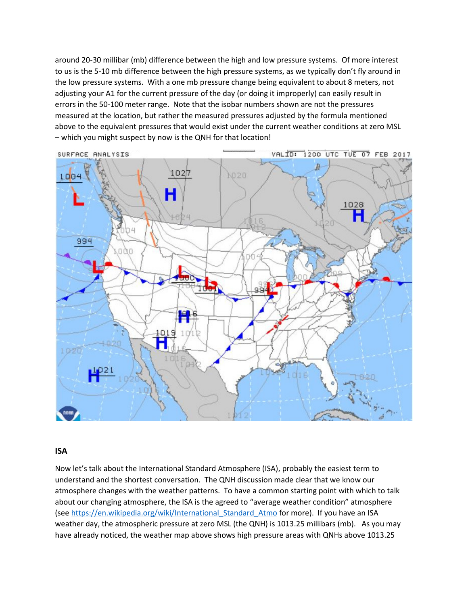around 20-30 millibar (mb) difference between the high and low pressure systems. Of more interest to us is the 5-10 mb difference between the high pressure systems, as we typically don't fly around in the low pressure systems. With a one mb pressure change being equivalent to about 8 meters, not adjusting your A1 for the current pressure of the day (or doing it improperly) can easily result in errors in the 50-100 meter range. Note that the isobar numbers shown are not the pressures measured at the location, but rather the measured pressures adjusted by the formula mentioned above to the equivalent pressures that would exist under the current weather conditions at zero MSL – which you might suspect by now is the QNH for that location!



### **ISA**

Now let's talk about the International Standard Atmosphere (ISA), probably the easiest term to understand and the shortest conversation. The QNH discussion made clear that we know our atmosphere changes with the weather patterns. To have a common starting point with which to talk about our changing atmosphere, the ISA is the agreed to "average weather condition" atmosphere (see https://en.wikipedia.org/wiki/International Standard Atmo for more). If you have an ISA weather day, the atmospheric pressure at zero MSL (the QNH) is 1013.25 millibars (mb). As you may have already noticed, the weather map above shows high pressure areas with QNHs above 1013.25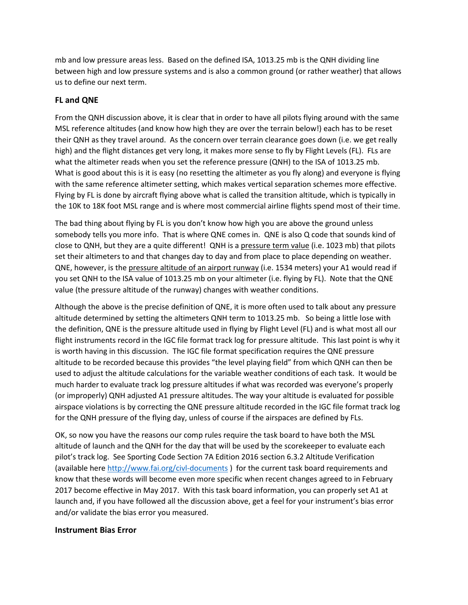mb and low pressure areas less. Based on the defined ISA, 1013.25 mb is the QNH dividing line between high and low pressure systems and is also a common ground (or rather weather) that allows us to define our next term.

## **FL and QNE**

From the QNH discussion above, it is clear that in order to have all pilots flying around with the same MSL reference altitudes (and know how high they are over the terrain below!) each has to be reset their QNH as they travel around. As the concern over terrain clearance goes down (i.e. we get really high) and the flight distances get very long, it makes more sense to fly by Flight Levels (FL). FLs are what the altimeter reads when you set the reference pressure (QNH) to the ISA of 1013.25 mb. What is good about this is it is easy (no resetting the altimeter as you fly along) and everyone is flying with the same reference altimeter setting, which makes vertical separation schemes more effective. Flying by FL is done by aircraft flying above what is called the transition altitude, which is typically in the 10K to 18K foot MSL range and is where most commercial airline flights spend most of their time.

The bad thing about flying by FL is you don't know how high you are above the ground unless somebody tells you more info. That is where QNE comes in. QNE is also Q code that sounds kind of close to QNH, but they are a quite different! QNH is a pressure term value (i.e. 1023 mb) that pilots set their altimeters to and that changes day to day and from place to place depending on weather. QNE, however, is the pressure altitude of an airport runway (i.e. 1534 meters) your A1 would read if you set QNH to the ISA value of 1013.25 mb on your altimeter (i.e. flying by FL). Note that the QNE value (the pressure altitude of the runway) changes with weather conditions.

Although the above is the precise definition of QNE, it is more often used to talk about any pressure altitude determined by setting the altimeters QNH term to 1013.25 mb. So being a little lose with the definition, QNE is the pressure altitude used in flying by Flight Level (FL) and is what most all our flight instruments record in the IGC file format track log for pressure altitude. This last point is why it is worth having in this discussion. The IGC file format specification requires the QNE pressure altitude to be recorded because this provides "the level playing field" from which QNH can then be used to adjust the altitude calculations for the variable weather conditions of each task. It would be much harder to evaluate track log pressure altitudes if what was recorded was everyone's properly (or improperly) QNH adjusted A1 pressure altitudes. The way your altitude is evaluated for possible airspace violations is by correcting the QNE pressure altitude recorded in the IGC file format track log for the QNH pressure of the flying day, unless of course if the airspaces are defined by FLs.

OK, so now you have the reasons our comp rules require the task board to have both the MSL altitude of launch and the QNH for the day that will be used by the scorekeeper to evaluate each pilot's track log. See Sporting Code Section 7A Edition 2016 section 6.3.2 Altitude Verification (available here http://www.fai.org/civl-documents ) for the current task board requirements and know that these words will become even more specific when recent changes agreed to in February 2017 become effective in May 2017. With this task board information, you can properly set A1 at launch and, if you have followed all the discussion above, get a feel for your instrument's bias error and/or validate the bias error you measured.

### **Instrument Bias Error**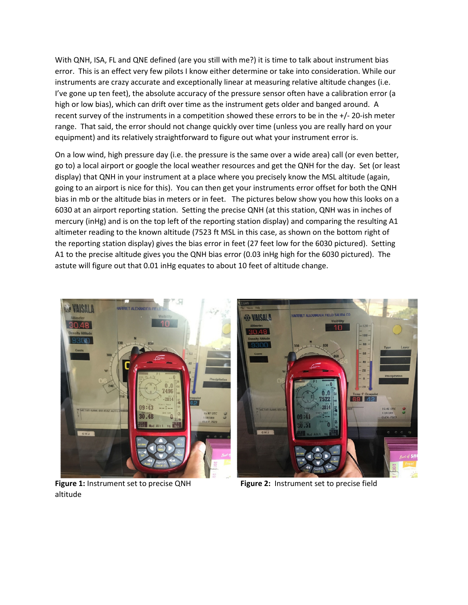With QNH, ISA, FL and QNE defined (are you still with me?) it is time to talk about instrument bias error. This is an effect very few pilots I know either determine or take into consideration. While our instruments are crazy accurate and exceptionally linear at measuring relative altitude changes (i.e. I've gone up ten feet), the absolute accuracy of the pressure sensor often have a calibration error (a high or low bias), which can drift over time as the instrument gets older and banged around. A recent survey of the instruments in a competition showed these errors to be in the +/- 20-ish meter range. That said, the error should not change quickly over time (unless you are really hard on your equipment) and its relatively straightforward to figure out what your instrument error is.

On a low wind, high pressure day (i.e. the pressure is the same over a wide area) call (or even better, go to) a local airport or google the local weather resources and get the QNH for the day. Set (or least display) that QNH in your instrument at a place where you precisely know the MSL altitude (again, going to an airport is nice for this). You can then get your instruments error offset for both the QNH bias in mb or the altitude bias in meters or in feet. The pictures below show you how this looks on a 6030 at an airport reporting station. Setting the precise QNH (at this station, QNH was in inches of mercury (inHg) and is on the top left of the reporting station display) and comparing the resulting A1 altimeter reading to the known altitude (7523 ft MSL in this case, as shown on the bottom right of the reporting station display) gives the bias error in feet (27 feet low for the 6030 pictured). Setting A1 to the precise altitude gives you the QNH bias error (0.03 inHg high for the 6030 pictured). The astute will figure out that 0.01 inHg equates to about 10 feet of altitude change.





**Figure 1:** Instrument set to precise QNH **Figure 2:** Instrument set to precise field altitude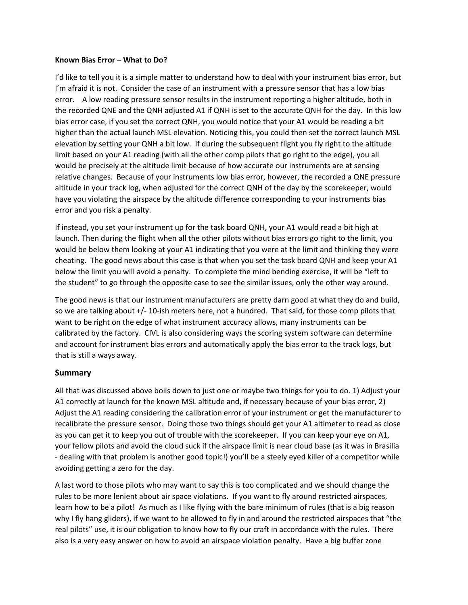#### **Known Bias Error – What to Do?**

I'd like to tell you it is a simple matter to understand how to deal with your instrument bias error, but I'm afraid it is not. Consider the case of an instrument with a pressure sensor that has a low bias error. A low reading pressure sensor results in the instrument reporting a higher altitude, both in the recorded QNE and the QNH adjusted A1 if QNH is set to the accurate QNH for the day. In this low bias error case, if you set the correct QNH, you would notice that your A1 would be reading a bit higher than the actual launch MSL elevation. Noticing this, you could then set the correct launch MSL elevation by setting your QNH a bit low. If during the subsequent flight you fly right to the altitude limit based on your A1 reading (with all the other comp pilots that go right to the edge), you all would be precisely at the altitude limit because of how accurate our instruments are at sensing relative changes. Because of your instruments low bias error, however, the recorded a QNE pressure altitude in your track log, when adjusted for the correct QNH of the day by the scorekeeper, would have you violating the airspace by the altitude difference corresponding to your instruments bias error and you risk a penalty.

If instead, you set your instrument up for the task board QNH, your A1 would read a bit high at launch. Then during the flight when all the other pilots without bias errors go right to the limit, you would be below them looking at your A1 indicating that you were at the limit and thinking they were cheating. The good news about this case is that when you set the task board QNH and keep your A1 below the limit you will avoid a penalty. To complete the mind bending exercise, it will be "left to the student" to go through the opposite case to see the similar issues, only the other way around.

The good news is that our instrument manufacturers are pretty darn good at what they do and build, so we are talking about +/- 10-ish meters here, not a hundred. That said, for those comp pilots that want to be right on the edge of what instrument accuracy allows, many instruments can be calibrated by the factory. CIVL is also considering ways the scoring system software can determine and account for instrument bias errors and automatically apply the bias error to the track logs, but that is still a ways away.

## **Summary**

All that was discussed above boils down to just one or maybe two things for you to do. 1) Adjust your A1 correctly at launch for the known MSL altitude and, if necessary because of your bias error, 2) Adjust the A1 reading considering the calibration error of your instrument or get the manufacturer to recalibrate the pressure sensor. Doing those two things should get your A1 altimeter to read as close as you can get it to keep you out of trouble with the scorekeeper. If you can keep your eye on A1, your fellow pilots and avoid the cloud suck if the airspace limit is near cloud base (as it was in Brasilia - dealing with that problem is another good topic!) you'll be a steely eyed killer of a competitor while avoiding getting a zero for the day.

A last word to those pilots who may want to say this is too complicated and we should change the rules to be more lenient about air space violations. If you want to fly around restricted airspaces, learn how to be a pilot! As much as I like flying with the bare minimum of rules (that is a big reason why I fly hang gliders), if we want to be allowed to fly in and around the restricted airspaces that "the real pilots" use, it is our obligation to know how to fly our craft in accordance with the rules. There also is a very easy answer on how to avoid an airspace violation penalty. Have a big buffer zone